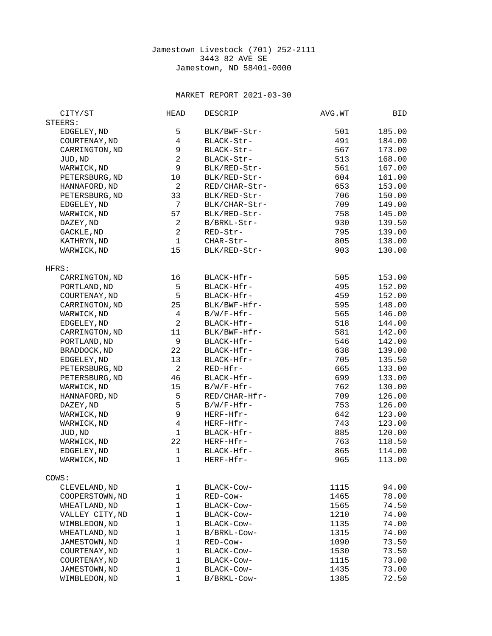## Jamestown Livestock (701) 252-2111 3443 82 AVE SE Jamestown, ND 58401-0000

## MARKET REPORT 2021-03-30

| STEERS:<br>5<br>EDGELEY, ND<br>BLK/BWF-Str-<br>501<br>4<br>COURTENAY, ND<br>491<br>BLACK-Str-<br>9<br>CARRINGTON, ND<br>567<br>BLACK-Str-<br>$\overline{c}$<br>BLACK-Str-<br>513 | 185.00<br>184.00<br>173.00<br>168.00<br>167.00<br>161.00 |
|----------------------------------------------------------------------------------------------------------------------------------------------------------------------------------|----------------------------------------------------------|
|                                                                                                                                                                                  |                                                          |
|                                                                                                                                                                                  |                                                          |
|                                                                                                                                                                                  |                                                          |
|                                                                                                                                                                                  |                                                          |
| JUD, ND                                                                                                                                                                          |                                                          |
| $\mathsf g$<br>WARWICK, ND<br>BLK/RED-Str-<br>561                                                                                                                                |                                                          |
| PETERSBURG, ND<br>10<br>604<br>BLK/RED-Str-                                                                                                                                      |                                                          |
| $\overline{c}$<br>HANNAFORD, ND<br>653<br>RED/CHAR-Str-                                                                                                                          | 153.00                                                   |
| 33<br>PETERSBURG, ND<br>BLK/RED-Str-<br>706                                                                                                                                      | 150.00                                                   |
| $\overline{7}$<br>EDGELEY, ND<br>BLK/CHAR-Str-<br>709                                                                                                                            | 149.00                                                   |
| 57<br>WARWICK, ND<br>BLK/RED-Str-<br>758                                                                                                                                         | 145.00                                                   |
| $\overline{c}$<br>DAZEY, ND<br>B/BRKL-Str-<br>930                                                                                                                                | 139.50                                                   |
| $\boldsymbol{2}$<br>GACKLE, ND<br>795<br>RED-Str-                                                                                                                                | 139.00                                                   |
| $\mathbf{1}$<br>805<br>KATHRYN, ND<br>CHAR-Str-                                                                                                                                  | 138.00                                                   |
| 15<br>WARWICK, ND<br>BLK/RED-Str-<br>903                                                                                                                                         | 130.00                                                   |
| HFRS:                                                                                                                                                                            |                                                          |
| 16<br>CARRINGTON, ND<br>BLACK-Hfr-<br>505                                                                                                                                        | 153.00                                                   |
| 5                                                                                                                                                                                | 152.00                                                   |
| PORTLAND, ND<br>BLACK-Hfr-<br>495                                                                                                                                                |                                                          |
| 5<br>COURTENAY, ND<br>BLACK-Hfr-<br>459                                                                                                                                          | 152.00                                                   |
| 25<br>CARRINGTON, ND<br>BLK/BWF-Hfr-<br>595                                                                                                                                      | 148.00                                                   |
| $\overline{\mathcal{A}}$<br>$B/W/F-Hfr$ -<br>565<br>WARWICK, ND                                                                                                                  | 146.00                                                   |
| $\overline{c}$<br>EDGELEY, ND<br>BLACK-Hfr-<br>518                                                                                                                               | 144.00                                                   |
| 11<br>CARRINGTON, ND<br>BLK/BWF-Hfr-<br>581                                                                                                                                      | 142.00                                                   |
| 9<br>546<br>PORTLAND, ND<br>BLACK-Hfr-                                                                                                                                           | 142.00                                                   |
| 22<br>BRADDOCK, ND<br>BLACK-Hfr-<br>638                                                                                                                                          | 139.00                                                   |
| 13<br>EDGELEY, ND<br>BLACK-Hfr-<br>705                                                                                                                                           | 135.50                                                   |
| $\overline{2}$<br>PETERSBURG, ND<br>RED-Hfr-<br>665                                                                                                                              | 133.00                                                   |
| 46<br>PETERSBURG, ND<br>BLACK-Hfr-<br>699                                                                                                                                        | 133.00                                                   |
| 15<br>$B/W/F-Hfr$ -<br>762<br>WARWICK, ND                                                                                                                                        | 130.00                                                   |
| 5<br>HANNAFORD, ND<br>RED/CHAR-Hfr-<br>709                                                                                                                                       | 126.00                                                   |
| 5<br>753<br>DAZEY, ND<br>$B/W/F-Hfr$ -                                                                                                                                           | 126.00                                                   |
| 9<br>642<br>WARWICK, ND<br>HERF-Hfr-                                                                                                                                             | 123.00                                                   |
| $\overline{\mathcal{L}}$<br>743<br>WARWICK, ND<br>HERF-Hfr-                                                                                                                      | 123.00                                                   |
| $\mathbf{1}$<br>JUD, ND<br>BLACK-Hfr-<br>885                                                                                                                                     | 120.00                                                   |
| 22<br>WARWICK, ND<br>HERF-Hfr-<br>763                                                                                                                                            | 118.50                                                   |
| $\mathbf{1}$<br>EDGELEY, ND<br>BLACK-Hfr-<br>865                                                                                                                                 | 114.00                                                   |
| $\mathbf{1}$<br>WARWICK, ND<br>HERF-Hfr-<br>965                                                                                                                                  | 113.00                                                   |
| COWS:                                                                                                                                                                            |                                                          |
| 1<br>CLEVELAND, ND<br>BLACK-Cow-<br>1115                                                                                                                                         | 94.00                                                    |
| $\mathbf{1}$<br>COOPERSTOWN, ND<br>RED-Cow-<br>1465                                                                                                                              | 78.00                                                    |
| 1<br>WHEATLAND, ND<br>1565<br>BLACK-COW-                                                                                                                                         | 74.50                                                    |
| $\mathbf{1}$<br>1210<br>VALLEY CITY, ND<br>BLACK-COW-                                                                                                                            | 74.00                                                    |
| $\mathbf{1}$<br>1135<br>WIMBLEDON, ND<br>BLACK-Cow-                                                                                                                              | 74.00                                                    |
| $\mathbf{1}$<br>1315<br>WHEATLAND, ND<br>B/BRKL-Cow-                                                                                                                             | 74.00                                                    |
| $\mathbf{1}$<br>JAMESTOWN, ND<br>1090<br>RED-Cow-                                                                                                                                | 73.50                                                    |
| $\mathbf{1}$<br>COURTENAY, ND<br>1530<br>BLACK-COW-                                                                                                                              | 73.50                                                    |
| 1<br>COURTENAY, ND<br>BLACK-Cow-<br>1115                                                                                                                                         | 73.00                                                    |
| 1<br>JAMESTOWN, ND<br>BLACK-Cow-<br>1435                                                                                                                                         | 73.00                                                    |
| 1<br>1385<br>WIMBLEDON, ND<br>B/BRKL-Cow-                                                                                                                                        | 72.50                                                    |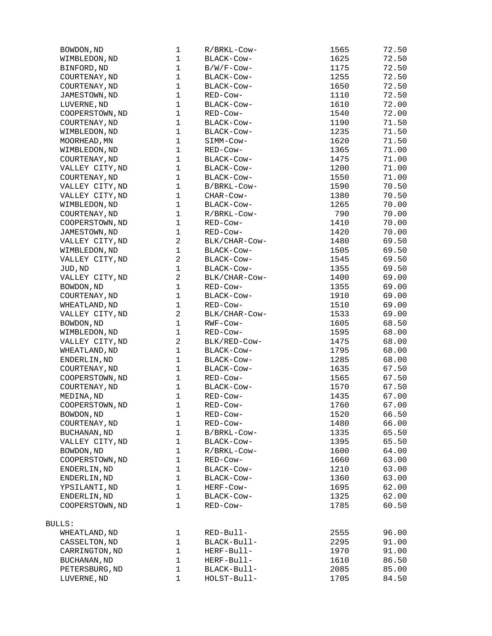| BOWDON, ND          | $\mathbf{1}$   | R/BRKL-Cow-   | 1565         | 72.50 |
|---------------------|----------------|---------------|--------------|-------|
| WIMBLEDON, ND       | $\mathbf{1}$   | BLACK-Cow-    | 1625         | 72.50 |
| BINFORD, ND         | $\mathbf{1}$   | $B/W/F$ -Cow- | 1175         | 72.50 |
| COURTENAY, ND       | $\mathbf{1}$   | BLACK-Cow-    | 1255         | 72.50 |
| COURTENAY, ND       | $\mathbf{1}$   | BLACK-COW-    | 1650         | 72.50 |
| JAMESTOWN, ND       | $\mathbf{1}$   | RED-Cow-      | 1110         | 72.50 |
| LUVERNE, ND         | $\mathbf{1}$   | BLACK-COW-    | 1610         | 72.00 |
| COOPERSTOWN, ND     | $\mathbf{1}$   | RED-Cow-      | 1540         | 72.00 |
| COURTENAY, ND       | $\mathbf{1}$   | BLACK-COW-    | 1190         | 71.50 |
| WIMBLEDON, ND       | $\mathbf{1}$   | BLACK-COW-    | 1235         | 71.50 |
| MOORHEAD, MN        | $\mathbf{1}$   | SIMM-COW-     | 1620         | 71.50 |
| WIMBLEDON, ND       | $\mathbf{1}$   | RED-Cow-      | 1365         | 71.00 |
| COURTENAY, ND       | $\mathbf{1}$   | BLACK-COW-    | 1475         | 71.00 |
| VALLEY CITY, ND     | $\mathbf{1}$   | BLACK-COW-    | 1200         | 71.00 |
| COURTENAY, ND       | $\mathbf{1}$   | BLACK-COW-    | 1550         | 71.00 |
| VALLEY CITY, ND     | $\mathbf{1}$   | B/BRKL-Cow-   | 1590         | 70.50 |
| VALLEY CITY, ND     | $\mathbf{1}$   | CHAR-COW-     | 1380         | 70.50 |
| WIMBLEDON, ND       | $\mathbf{1}$   | BLACK-Cow-    | 1265         | 70.00 |
| COURTENAY, ND       | $\mathbf{1}$   | R/BRKL-Cow-   | 790          | 70.00 |
| COOPERSTOWN, ND     | $\mathbf{1}$   | RED-Cow-      | 1410         | 70.00 |
| JAMESTOWN, ND       | $\mathbf 1$    | RED-Cow-      | 1420         | 70.00 |
| VALLEY CITY, ND     | $\overline{2}$ | BLK/CHAR-Cow- | 1480         | 69.50 |
|                     | $\mathbf 1$    | BLACK-COW-    | 1505         | 69.50 |
| WIMBLEDON, ND       | $\overline{c}$ |               |              |       |
| VALLEY CITY, ND     | $\mathbf{1}$   | BLACK-Cow-    | 1545         | 69.50 |
| JUD, ND             | $\overline{2}$ | BLACK-Cow-    | 1355<br>1400 | 69.50 |
| VALLEY CITY, ND     | $\mathbf{1}$   | BLK/CHAR-Cow- |              | 69.00 |
| BOWDON, ND          |                | RED-Cow-      | 1355         | 69.00 |
| COURTENAY, ND       | $\mathbf 1$    | BLACK-COW-    | 1910         | 69.00 |
| WHEATLAND, ND       | $\mathbf{1}$   | RED-Cow-      | 1510         | 69.00 |
| VALLEY CITY, ND     | $\overline{c}$ | BLK/CHAR-Cow- | 1533         | 69.00 |
| BOWDON, ND          | $\mathbf{1}$   | RWF-Cow-      | 1605         | 68.50 |
| WIMBLEDON, ND       | $\mathbf{1}$   | RED-Cow-      | 1595         | 68.00 |
| VALLEY CITY, ND     | $\overline{c}$ | BLK/RED-COW-  | 1475         | 68.00 |
| WHEATLAND, ND       | $\mathbf{1}$   | BLACK-COW-    | 1795         | 68.00 |
| ENDERLIN, ND        | $\mathbf{1}$   | BLACK-Cow-    | 1285         | 68.00 |
| COURTENAY, ND       | $\mathbf{1}$   | BLACK-Cow-    | 1635         | 67.50 |
| COOPERSTOWN, ND     | $\mathbf 1$    | RED-Cow-      | 1565         | 67.50 |
| COURTENAY, ND       | $\mathbf{1}$   | BLACK-COW-    | 1570         | 67.50 |
| MEDINA, ND          | $\mathbf{1}$   | RED-Cow-      | 1435         | 67.00 |
| COOPERSTOWN, ND     | $\mathbf 1$    | RED-Cow-      | 1760         | 67.00 |
| BOWDON, ND          | $\mathbf 1$    | RED-Cow-      | 1520         | 66.50 |
| COURTENAY, ND       | $\mathbf{1}$   | RED-Cow-      | 1480         | 66.00 |
| <b>BUCHANAN, ND</b> | $\mathbf{1}$   | B/BRKL-Cow-   | 1335         | 65.50 |
| VALLEY CITY, ND     | $\mathbf{1}$   | BLACK-Cow-    | 1395         | 65.50 |
| BOWDON, ND          | $\mathbf{1}$   | R/BRKL-Cow-   | 1600         | 64.00 |
| COOPERSTOWN, ND     | $\mathbf 1$    | RED-Cow-      | 1660         | 63.00 |
| ENDERLIN, ND        | $\mathbf{1}$   | BLACK-Cow-    | 1210         | 63.00 |
| ENDERLIN, ND        | 1              | BLACK-COW-    | 1360         | 63.00 |
| YPSILANTI, ND       | $\mathbf{1}$   | HERF-Cow-     | 1695         | 62.00 |
| ENDERLIN, ND        | $\mathbf{1}$   | BLACK-Cow-    | 1325         | 62.00 |
| COOPERSTOWN, ND     | $\mathbf{1}$   | RED-Cow-      | 1785         | 60.50 |
| BULLS:              |                |               |              |       |
| WHEATLAND, ND       | $\mathbf{1}$   | RED-Bull-     | 2555         | 96.00 |
| CASSELTON, ND       | $\mathbf{1}$   | BLACK-Bull-   | 2295         | 91.00 |
| CARRINGTON, ND      | $\mathbf{1}$   | HERF-Bull-    | 1970         | 91.00 |
| <b>BUCHANAN, ND</b> | 1              | HERF-Bull-    | 1610         | 86.50 |
| PETERSBURG, ND      | 1              | BLACK-Bull-   | 2085         | 85.00 |
| LUVERNE, ND         | $\mathbf{1}$   | HOLST-Bull-   | 1705         | 84.50 |